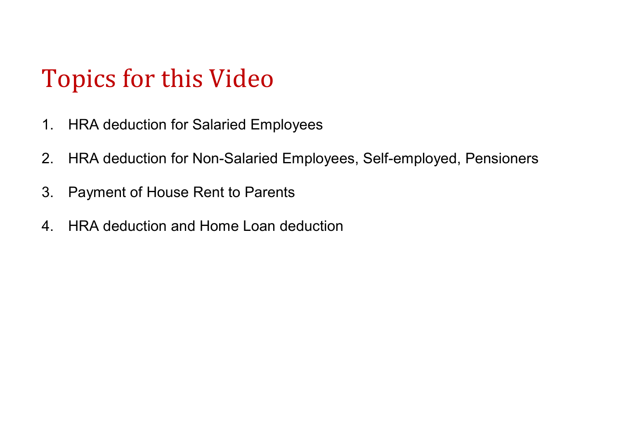# Topics for this Video

- 1. HRA deduction for Salaried Employees
- 2. HRA deduction for Non-Salaried Employees, Self-employed, Pensioners
- 3. Payment of House Rent to Parents
- 4. HRA deduction and Home Loan deduction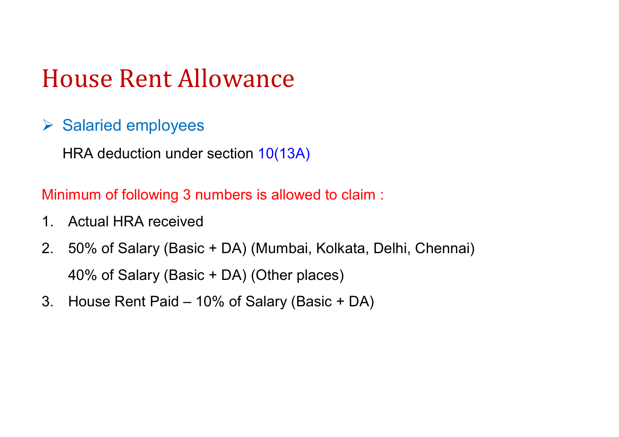#### $\triangleright$  Salaried employees

HRA deduction under section 10(13A)

Minimum of following 3 numbers is allowed to claim :

- 1. Actual HRA received
- 2. 50% of Salary (Basic + DA) (Mumbai, Kolkata, Delhi, Chennai) 40% of Salary (Basic + DA) (Other places)
- 3. House Rent Paid 10% of Salary (Basic + DA)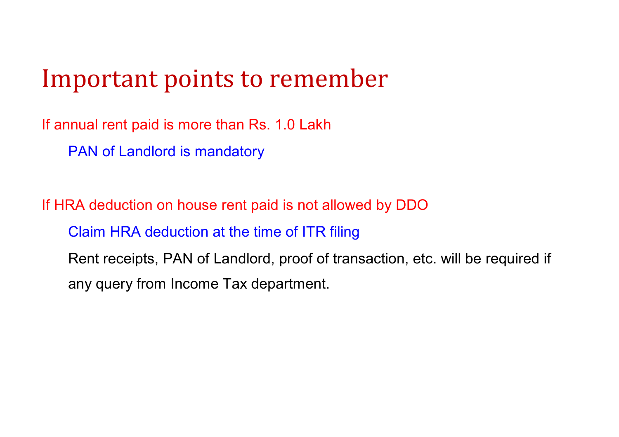#### Important points to remember

If annual rent paid is more than Rs. 1.0 Lakh

PAN of Landlord is mandatory

If HRA deduction on house rent paid is not allowed by DDO Claim HRA deduction at the time of ITR filing Rent receipts, PAN of Landlord, proof of transaction, etc. will be required if any query from Income Tax department.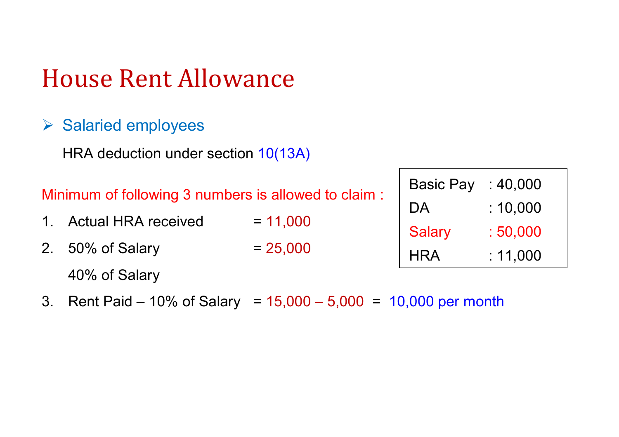#### $\triangleright$  Salaried employees

HRA deduction under section 10(13A)

- 1. Actual HRA received  $= 11,000$
- 2.  $50\%$  of Salary  $= 25,000$

40% of Salary

3. Rent Paid – 10% of Salary = 15,000 – 5,000 = 10,000 per month

| <b>Basic Pay</b> | : 40,000 |
|------------------|----------|
| DA.              | :10,000  |
| <b>Salary</b>    | : 50,000 |
| HRA              | :11.000  |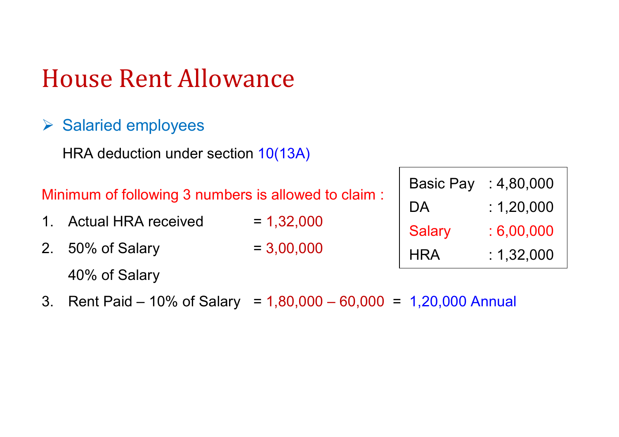#### $\triangleright$  Salaried employees

HRA deduction under section 10(13A)

Minimum of following 3 numbers is allowed to claim :

- 1. Actual HRA received  $= 1,32,000$
- 2.  $50\%$  of Salary  $= 3,00,000$

40% of Salary

3. Rent Paid – 10% of Salary = 1,80,000 – 60,000 = 1,20,000 Annual

| <b>Basic Pay</b> | : 4,80,000 |
|------------------|------------|
| DA               | : 1,20,000 |
| <b>Salary</b>    | :6,00,000  |
| HRA              | : 1,32,000 |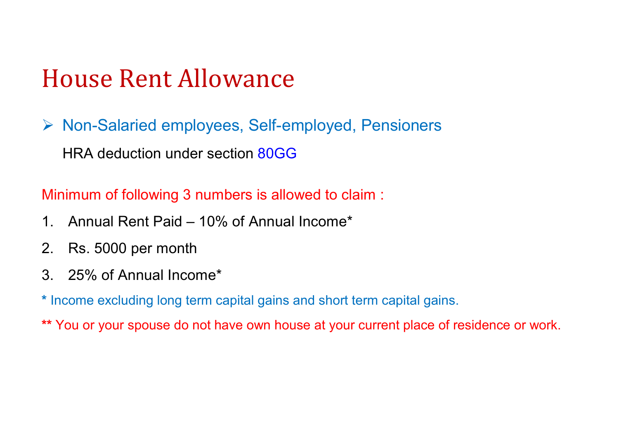▶ Non-Salaried employees, Self-employed, Pensioners HRA deduction under section 80GG

Minimum of following 3 numbers is allowed to claim :

- 1. Annual Rent Paid 10% of Annual Income\*
- 2. Rs. 5000 per month
- 3. 25% of Annual Income\*
- **\*** Income excluding long term capital gains and short term capital gains.
- **\*\*** You or your spouse do not have own house at your current place of residence or work.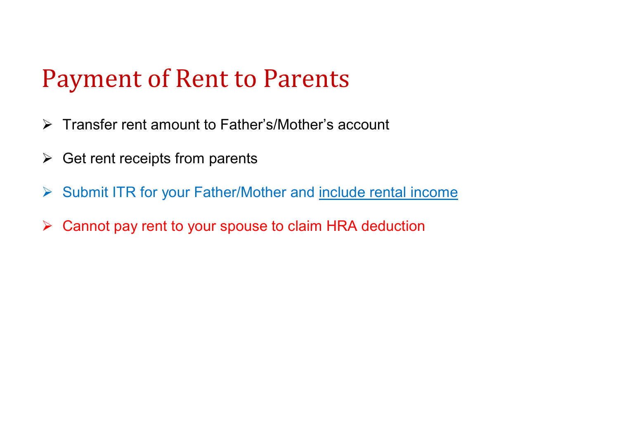#### Payment of Rent to Parents

- Transfer rent amount to Father's/Mother's account
- $\triangleright$  Get rent receipts from parents
- ▶ Submit ITR for your Father/Mother and include rental income
- ▶ Cannot pay rent to your spouse to claim HRA deduction